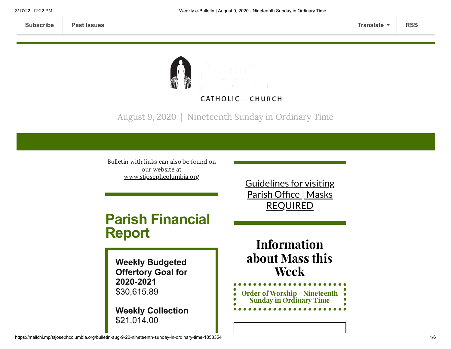

August 9, 2020 | Nineteenth Sunday in Ordinary Time

Bulletin with links can also be found on our website at [www.stjosephcolumbia.org](http://www.stjosephcolumbia.org/)

# **Parish Financial Report**

**Weekly Budgeted Offertory Goal for 2020-2021** \$30,615.89

**Weekly Collection** \$21,014.00

Guidelines for visiting Parish Office | Masks [REQUIRED](https://www.stjosephcolumbia.org/church-and-parish-office-hours)

Information about Mass this Week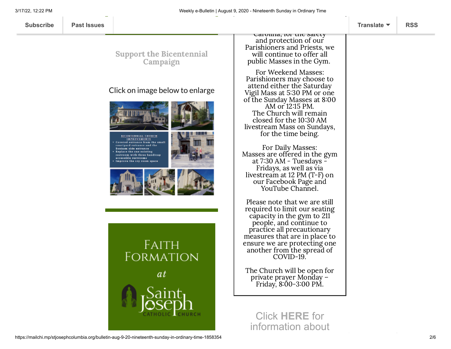Support the [Bicentennial](https://www.stjosephcolumbia.org/bicentennial-campaign) Campaign

## Click on image below to enlarge



**SICENTENNIAL CHURCH** IMPROVEMENTS courtyard entrance and the Bonham side entrance Replace the one existing restroom with three handicap accessible restrooms Improve the cry room space





**FAITH FORMATION** 

*at* 



Carolina, for the safety and protection of our Parishioners and Priests, we will continue to offer all public Masses in the Gym.

For Weekend Masses: Parishioners may choose to attend either the Saturday Vigil Mass at 5:30 PM or one of the Sunday Masses at 8:00 AM or 12:15 PM. The Church will remain closed for the 10:30 AM livestream Mass on Sundays, for the time being.

For Daily Masses: Masses are offered in the gym at 7:30 AM - Tuesdays - Fridays, as well as via livestream at 12 PM (T-F) on our Facebook Page and YouTube Channel.

Please note that we are still required to limit our seating capacity in the gym to 211 people, and continue to practice all precautionary measures that are in place to ensure we are protecting one another from the spread of COVID-19.

The Church will be open for private prayer Monday – Friday, 8:00-3:00 PM.

Click **[HERE](https://www.stjosephcolumbia.org/resuming-public-masses)** for information about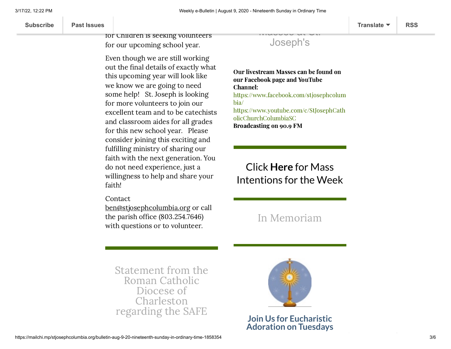Our Religious Education program for Children is seeking volunteers for our upcoming school year.

Even though we are still working out the final details of exactly what this upcoming year will look like we know we are going to need some help! St. Joseph is looking for more volunteers to join our excellent team and to be catechists and classroom aides for all grades for this new school year. Please consider joining this exciting and fulfilling ministry of sharing our faith with the next generation. You do not need experience, just a willingness to help and share your faith!

Contact

[ben@stjosephcolumbia.org](mailto:ben@stjosephcolumbia.org%C2%A0) or call the parish office (803.254.7646) with questions or to volunteer.

Masses at St. Joseph's

Our livestream Masses can be found on our Facebook page and YouTube Channel: [https://www.facebook.com/stjosephcolum](https://www.facebook.com/stjosephcolumbia/) bia/ [https://www.youtube.com/c/StJosephCath](https://www.youtube.com/c/StJosephCatholicChurchColumbiaSC) olicChurchColumbiaSC Broadcasting on 90.9 FM

# Click **Here** for Mass [Intentions for](https://www.stjosephcolumbia.org/mass-intentions) the Week

## In [Memoriam](https://www.stjosephcolumbia.org/in-memoriam)

Statement from the Roman Catholic Diocese of [Charleston](https://files.constantcontact.com/4eac7125301/bee1f41b-753e-497a-97c9-3699cd3506a4.pdf) regarding the SAFE



**Join Us for Eucharistic Adoration on Tuesdays**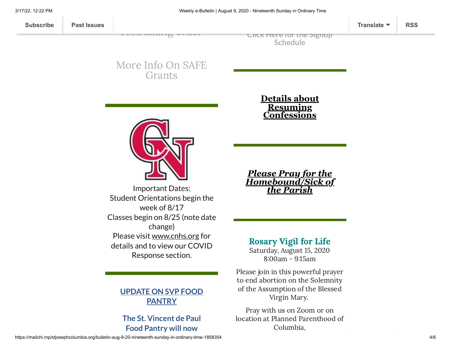**Click Here for the Signup [Schedule](https://www.stjosephcolumbia.org/copy-of-eucharistic-adoration-signu)**

## More Info On SAFE [Grants](https://files.constantcontact.com/4eac7125301/3aa931c4-db33-4c46-978b-30aedd96053f.pdf)

[restraining](https://files.constantcontact.com/4eac7125301/bee1f41b-753e-497a-97c9-3699cd3506a4.pdf) order



Important Dates: Student Orientations begin the week of 8/17 Classes begin on 8/25 (note date change) Please visit [www.cnhs.org](http://www.cnhs.org/) for details and to view our COVID Response section.

## **UPDATE ON SVP FOOD PANTRY**

## **The St. Vincent de Paul Food Pantry will now**

### **Details about Resuming [Confessions](https://www.stjosephcolumbia.org/confessions)**

*Please Pray for the [Homebound/Sick of](https://www.stjosephcolumbia.org/pray-for-the-homebound-sick-of-pari) the Parish*

Rosary Vigil for Life Saturday, August 15, 2020 8:00am - 9:15am

Please join in this powerful prayer to end abortion on the Solemnity of the Assumption of the Blessed Virgin Mary.

Pray with us on Zoom or on location at Planned Parenthood of Columbia,

https://mailchi.mp/stjosephcolumbia.org/bulletin-aug-9-20-nineteenth-sunday-in-ordinary-time-1858354 4/6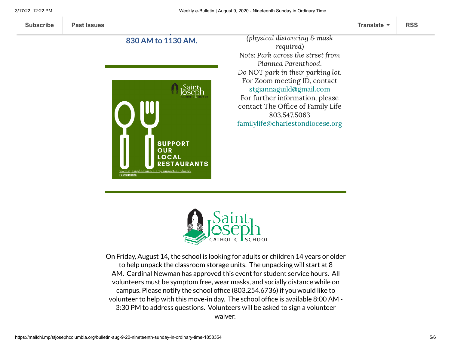



On Friday, August 14, the school is looking for adults or children 14 years or older to help unpack the classroom storage units. The unpacking will start at 8 AM. Cardinal Newman has approved this event for student service hours. All volunteers must be symptom free, wear masks, and socially distance while on campus. Please notify the school office (803.254.6736) if you would like to volunteer to help with this move-in day. The school office is available 8:00 AM - 3:30 PM to address questions. Volunteers will be asked to sign a volunteer waiver.